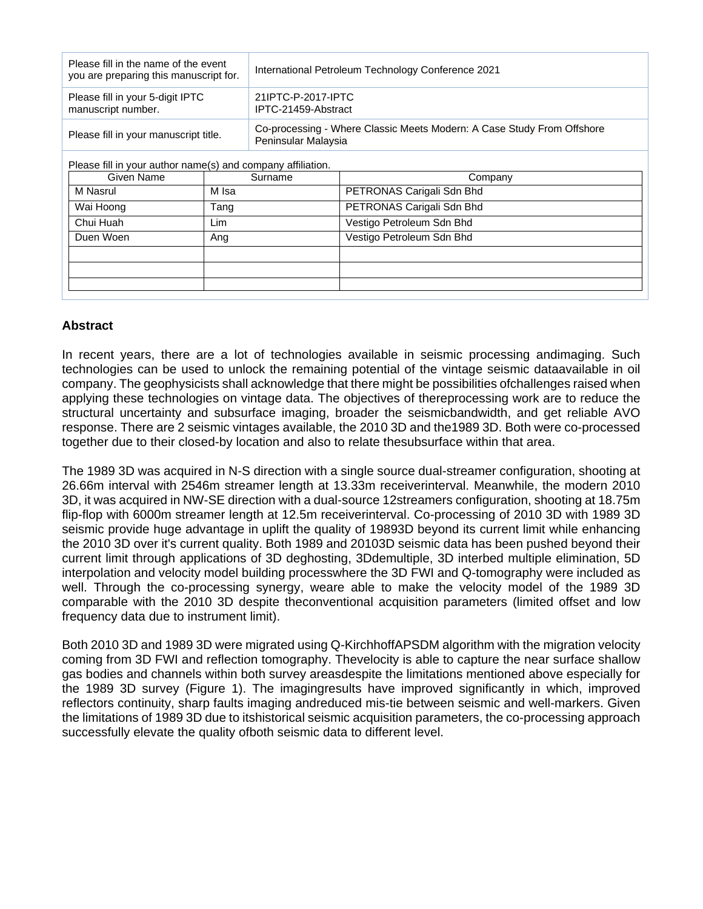| Please fill in the name of the event<br>you are preparing this manuscript for. | International Petroleum Technology Conference 2021                                            |  |
|--------------------------------------------------------------------------------|-----------------------------------------------------------------------------------------------|--|
| Please fill in your 5-digit IPTC<br>manuscript number.                         | 21IPTC-P-2017-IPTC<br>IPTC-21459-Abstract                                                     |  |
| Please fill in your manuscript title.                                          | Co-processing - Where Classic Meets Modern: A Case Study From Offshore<br>Peninsular Malaysia |  |

Please fill in your author name(s) and company affiliation.

| Given Name | Surname | Company                   |
|------------|---------|---------------------------|
| M Nasrul   | M Isa   | PETRONAS Carigali Sdn Bhd |
| Wai Hoong  | Tang    | PETRONAS Carigali Sdn Bhd |
| Chui Huah  | Lim     | Vestigo Petroleum Sdn Bhd |
| Duen Woen  | Ang     | Vestigo Petroleum Sdn Bhd |
|            |         |                           |
|            |         |                           |
|            |         |                           |
|            |         |                           |

## **Abstract**

In recent years, there are a lot of technologies available in seismic processing andimaging. Such technologies can be used to unlock the remaining potential of the vintage seismic dataavailable in oil company. The geophysicists shall acknowledge that there might be possibilities ofchallenges raised when applying these technologies on vintage data. The objectives of thereprocessing work are to reduce the structural uncertainty and subsurface imaging, broader the seismicbandwidth, and get reliable AVO response. There are 2 seismic vintages available, the 2010 3D and the1989 3D. Both were co-processed together due to their closed-by location and also to relate thesubsurface within that area.

The 1989 3D was acquired in N-S direction with a single source dual-streamer configuration, shooting at 26.66m interval with 2546m streamer length at 13.33m receiverinterval. Meanwhile, the modern 2010 3D, it was acquired in NW-SE direction with a dual-source 12streamers configuration, shooting at 18.75m flip-flop with 6000m streamer length at 12.5m receiverinterval. Co-processing of 2010 3D with 1989 3D seismic provide huge advantage in uplift the quality of 19893D beyond its current limit while enhancing the 2010 3D over it's current quality. Both 1989 and 20103D seismic data has been pushed beyond their current limit through applications of 3D deghosting, 3Ddemultiple, 3D interbed multiple elimination, 5D interpolation and velocity model building processwhere the 3D FWI and Q-tomography were included as well. Through the co-processing synergy, weare able to make the velocity model of the 1989 3D comparable with the 2010 3D despite theconventional acquisition parameters (limited offset and low frequency data due to instrument limit).

Both 2010 3D and 1989 3D were migrated using Q-KirchhoffAPSDM algorithm with the migration velocity coming from 3D FWI and reflection tomography. Thevelocity is able to capture the near surface shallow gas bodies and channels within both survey areasdespite the limitations mentioned above especially for the 1989 3D survey (Figure 1). The imagingresults have improved significantly in which, improved reflectors continuity, sharp faults imaging andreduced mis-tie between seismic and well-markers. Given the limitations of 1989 3D due to itshistorical seismic acquisition parameters, the co-processing approach successfully elevate the quality ofboth seismic data to different level.